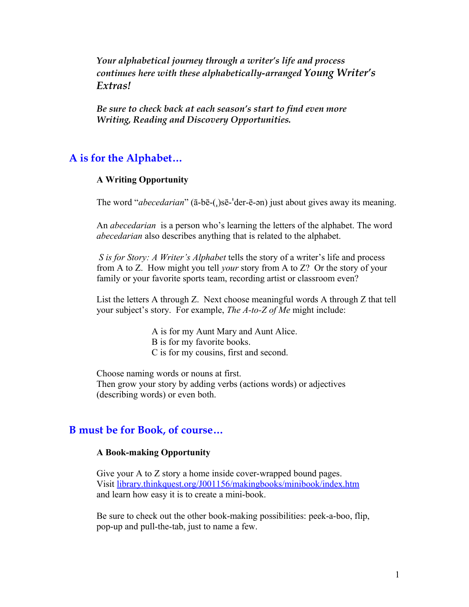*Your alphabetical journey through a writer's life and process continues here with these alphabetically-arranged Young Writer's Extras!*

*Be sure to check back at each season's start to find even more Writing, Reading and Discovery Opportunities.*

## **A is for the Alphabet…**

### **A Writing Opportunity**

The word "*abecedarian*" (ā-bē-(ˌ)sē-ˈder-ē-ən) just about gives away its meaning.

An *abecedarian* is a person who's learning the letters of the alphabet. The word *abecedarian* also describes anything that is related to the alphabet.

 *S is for Story: A Writer's Alphabet* tells the story of a writer's life and process from A to Z. How might you tell *your* story from A to Z? Or the story of your family or your favorite sports team, recording artist or classroom even?

List the letters A through Z. Next choose meaningful words A through Z that tell your subject's story. For example, *The A-to-Z of Me* might include:

> A is for my Aunt Mary and Aunt Alice. B is for my favorite books. C is for my cousins, first and second.

Choose naming words or nouns at first. Then grow your story by adding verbs (actions words) or adjectives (describing words) or even both.

### **B must be for Book, of course…**

### **A Book-making Opportunity**

Give your A to Z story a home inside cover-wrapped bound pages. Visit [library.thinkquest.org/J001156/makingbooks/minibook/index.htm](http://library.thinkquest.org/J001156/makingbooks/minibook/index.htm) and learn how easy it is to create a mini-book.

Be sure to check out the other book-making possibilities: peek-a-boo, flip, pop-up and pull-the-tab, just to name a few.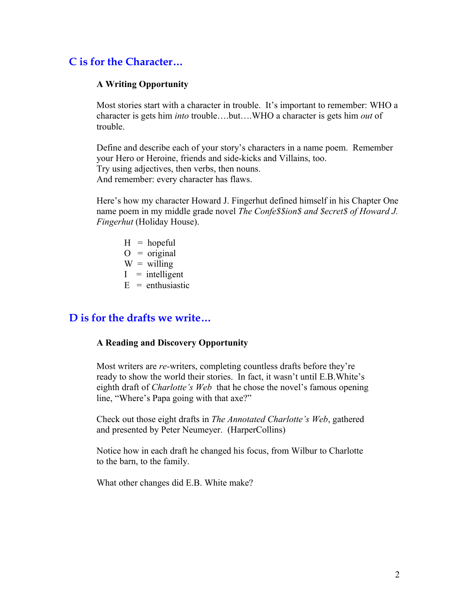# **C is for the Character…**

### **A Writing Opportunity**

Most stories start with a character in trouble. It's important to remember: WHO a character is gets him *into* trouble….but….WHO a character is gets him *out* of trouble.

Define and describe each of your story's characters in a name poem. Remember your Hero or Heroine, friends and side-kicks and Villains, too. Try using adjectives, then verbs, then nouns. And remember: every character has flaws.

Here's how my character Howard J. Fingerhut defined himself in his Chapter One name poem in my middle grade novel *The Confe\$\$ion\$ and \$ecret\$ of Howard J. Fingerhut* (Holiday House).

- $H =$ hopeful
- $O = original$
- $W =$  willing
- $I =$  intelligent
- $E =$ enthusiastic

## **D is for the drafts we write…**

### **A Reading and Discovery Opportunity**

Most writers are *re-*writers, completing countless drafts before they're ready to show the world their stories. In fact, it wasn't until E.B.White's eighth draft of *Charlotte's Web* that he chose the novel's famous opening line, "Where's Papa going with that axe?"

Check out those eight drafts in *The Annotated Charlotte's Web*, gathered and presented by Peter Neumeyer. (HarperCollins)

 Notice how in each draft he changed his focus, from Wilbur to Charlotte to the barn, to the family.

What other changes did E.B. White make?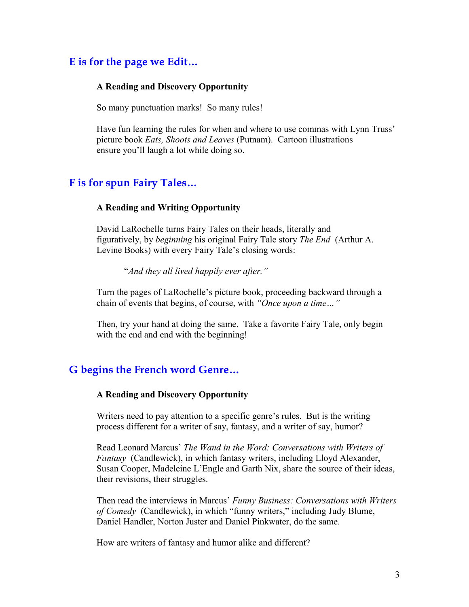# **E is for the page we Edit…**

### **A Reading and Discovery Opportunity**

So many punctuation marks! So many rules!

Have fun learning the rules for when and where to use commas with Lynn Truss' picture book *Eats, Shoots and Leaves* (Putnam). Cartoon illustrations ensure you'll laugh a lot while doing so.

## **F is for spun Fairy Tales…**

### **A Reading and Writing Opportunity**

David LaRochelle turns Fairy Tales on their heads, literally and figuratively, by *beginning* his original Fairy Tale story *The End* (Arthur A. Levine Books) with every Fairy Tale's closing words:

"*And they all lived happily ever after."*

Turn the pages of LaRochelle's picture book, proceeding backward through a chain of events that begins, of course, with *"Once upon a time…"*

Then, try your hand at doing the same. Take a favorite Fairy Tale, only begin with the end and end with the beginning!

### **G begins the French word Genre…**

#### **A Reading and Discovery Opportunity**

Writers need to pay attention to a specific genre's rules. But is the writing process different for a writer of say, fantasy, and a writer of say, humor?

Read Leonard Marcus' *The Wand in the Word: Conversations with Writers of Fantasy* (Candlewick), in which fantasy writers, including Lloyd Alexander, Susan Cooper, Madeleine L'Engle and Garth Nix, share the source of their ideas, their revisions, their struggles.

Then read the interviews in Marcus' *Funny Business: Conversations with Writers of Comedy* (Candlewick), in which "funny writers," including Judy Blume, Daniel Handler, Norton Juster and Daniel Pinkwater, do the same.

How are writers of fantasy and humor alike and different?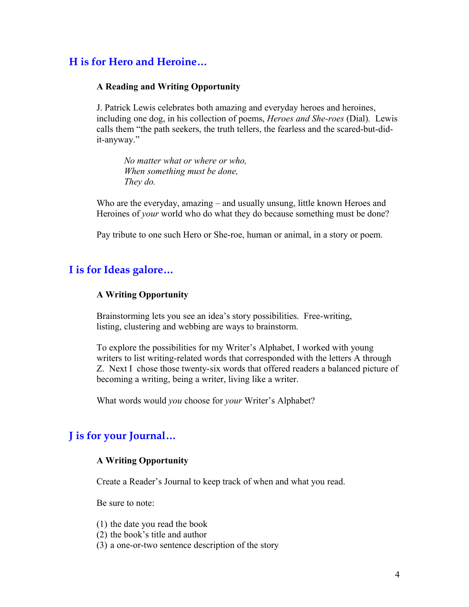# **H is for Hero and Heroine…**

### **A Reading and Writing Opportunity**

J. Patrick Lewis celebrates both amazing and everyday heroes and heroines, including one dog, in his collection of poems, *Heroes and She-roes* (Dial)*.* Lewis calls them "the path seekers, the truth tellers, the fearless and the scared-but-didit-anyway."

*No matter what or where or who, When something must be done, They do.*

Who are the everyday, amazing – and usually unsung, little known Heroes and Heroines of *your* world who do what they do because something must be done?

Pay tribute to one such Hero or She-roe, human or animal, in a story or poem.

## **I is for Ideas galore…**

### **A Writing Opportunity**

Brainstorming lets you see an idea's story possibilities. Free-writing, listing, clustering and webbing are ways to brainstorm.

To explore the possibilities for my Writer's Alphabet, I worked with young writers to list writing-related words that corresponded with the letters A through Z. Next I chose those twenty-six words that offered readers a balanced picture of becoming a writing, being a writer, living like a writer.

What words would *you* choose for *your* Writer's Alphabet?

# **J is for your Journal…**

### **A Writing Opportunity**

Create a Reader's Journal to keep track of when and what you read.

Be sure to note:

(1) the date you read the book

- (2) the book's title and author
- (3) a one-or-two sentence description of the story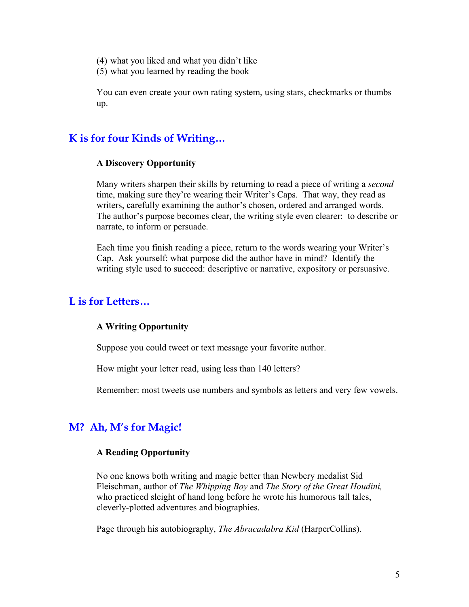- (4) what you liked and what you didn't like
- (5) what you learned by reading the book

You can even create your own rating system, using stars, checkmarks or thumbs up.

## **K is for four Kinds of Writing…**

#### **A Discovery Opportunity**

Many writers sharpen their skills by returning to read a piece of writing a *second* time, making sure they're wearing their Writer's Caps. That way, they read as writers, carefully examining the author's chosen, ordered and arranged words. The author's purpose becomes clear, the writing style even clearer: to describe or narrate, to inform or persuade.

Each time you finish reading a piece, return to the words wearing your Writer's Cap. Ask yourself: what purpose did the author have in mind? Identify the writing style used to succeed: descriptive or narrative, expository or persuasive.

## **L is for Letters…**

#### **A Writing Opportunity**

Suppose you could tweet or text message your favorite author.

How might your letter read, using less than 140 letters?

Remember: most tweets use numbers and symbols as letters and very few vowels.

## **M? Ah, M's for Magic!**

#### **A Reading Opportunity**

No one knows both writing and magic better than Newbery medalist Sid Fleischman, author of *The Whipping Boy* and *The Story of the Great Houdini,* who practiced sleight of hand long before he wrote his humorous tall tales, cleverly-plotted adventures and biographies.

Page through his autobiography, *The Abracadabra Kid* (HarperCollins).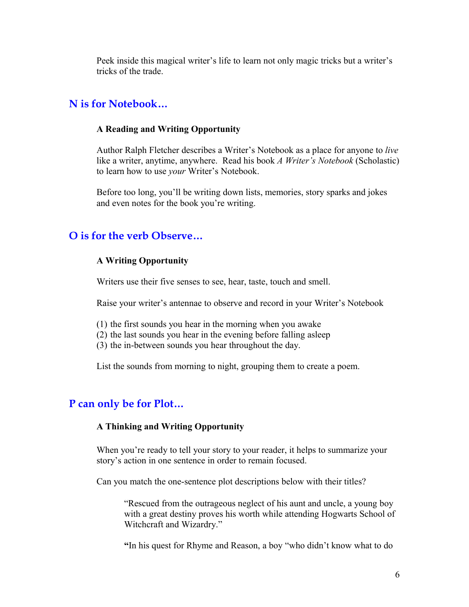Peek inside this magical writer's life to learn not only magic tricks but a writer's tricks of the trade.

## **N is for Notebook…**

### **A Reading and Writing Opportunity**

Author Ralph Fletcher describes a Writer's Notebook as a place for anyone to *live* like a writer, anytime, anywhere. Read his book *A Writer's Notebook* (Scholastic) to learn how to use *your* Writer's Notebook.

Before too long, you'll be writing down lists, memories, story sparks and jokes and even notes for the book you're writing.

# **O is for the verb Observe…**

### **A Writing Opportunity**

Writers use their five senses to see, hear, taste, touch and smell.

Raise your writer's antennae to observe and record in your Writer's Notebook

- (1) the first sounds you hear in the morning when you awake
- (2) the last sounds you hear in the evening before falling asleep
- (3) the in-between sounds you hear throughout the day.

List the sounds from morning to night, grouping them to create a poem.

# **P can only be for Plot…**

### **A Thinking and Writing Opportunity**

When you're ready to tell your story to your reader, it helps to summarize your story's action in one sentence in order to remain focused.

Can you match the one-sentence plot descriptions below with their titles?

"Rescued from the outrageous neglect of his aunt and uncle, a young boy with a great destiny proves his worth while attending Hogwarts School of Witchcraft and Wizardry."

**"**In his quest for Rhyme and Reason, a boy "who didn't know what to do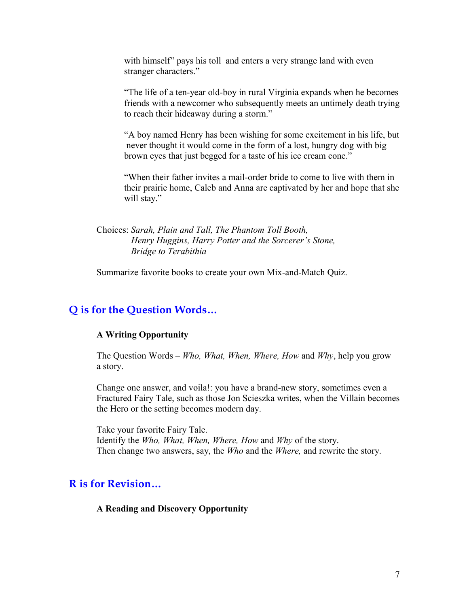with himself" pays his toll and enters a very strange land with even stranger characters."

"The life of a ten-year old-boy in rural Virginia expands when he becomes friends with a newcomer who subsequently meets an untimely death trying to reach their hideaway during a storm."

"A boy named Henry has been wishing for some excitement in his life, but never thought it would come in the form of a lost, hungry dog with big brown eyes that just begged for a taste of his ice cream cone."

"When their father invites a mail-order bride to come to live with them in their prairie home, Caleb and Anna are captivated by her and hope that she will stay."

Choices: *Sarah, Plain and Tall, The Phantom Toll Booth, Henry Huggins, Harry Potter and the Sorcerer's Stone, Bridge to Terabithia*

Summarize favorite books to create your own Mix-and-Match Quiz.

## **Q is for the Question Words…**

#### **A Writing Opportunity**

The Question Words – *Who, What, When, Where, How* and *Why*, help you grow a story.

Change one answer, and voila!: you have a brand-new story, sometimes even a Fractured Fairy Tale, such as those Jon Scieszka writes, when the Villain becomes the Hero or the setting becomes modern day.

Take your favorite Fairy Tale. Identify the *Who, What, When, Where, How* and *Why* of the story. Then change two answers, say, the *Who* and the *Where,* and rewrite the story.

## **R is for Revision…**

#### **A Reading and Discovery Opportunity**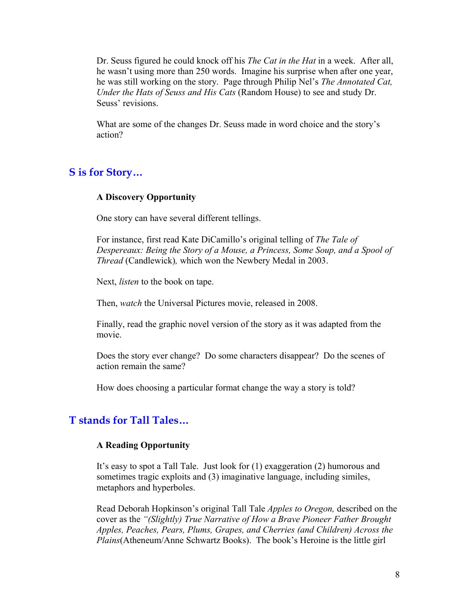Dr. Seuss figured he could knock off his *The Cat in the Hat* in a week. After all, he wasn't using more than 250 words. Imagine his surprise when after one year, he was still working on the story. Page through Philip Nel's *The Annotated Cat, Under the Hats of Seuss and His Cats* (Random House) to see and study Dr. Seuss' revisions.

What are some of the changes Dr. Seuss made in word choice and the story's action?

# **S is for Story…**

### **A Discovery Opportunity**

One story can have several different tellings.

For instance, first read Kate DiCamillo's original telling of *The Tale of Despereaux: Being the Story of a Mouse, a Princess, Some Soup, and a Spool of Thread* (Candlewick)*,* which won the Newbery Medal in 2003.

Next, *listen* to the book on tape.

Then, *watch* the Universal Pictures movie, released in 2008.

Finally, read the graphic novel version of the story as it was adapted from the movie.

Does the story ever change? Do some characters disappear? Do the scenes of action remain the same?

How does choosing a particular format change the way a story is told?

### **T stands for Tall Tales…**

#### **A Reading Opportunity**

It's easy to spot a Tall Tale. Just look for (1) exaggeration (2) humorous and sometimes tragic exploits and (3) imaginative language, including similes, metaphors and hyperboles.

Read Deborah Hopkinson's original Tall Tale *Apples to Oregon,* described on the cover as the *"(Slightly) True Narrative of How a Brave Pioneer Father Brought Apples, Peaches, Pears, Plums, Grapes, and Cherries (and Children) Across the Plains*(Atheneum/Anne Schwartz Books). The book's Heroine is the little girl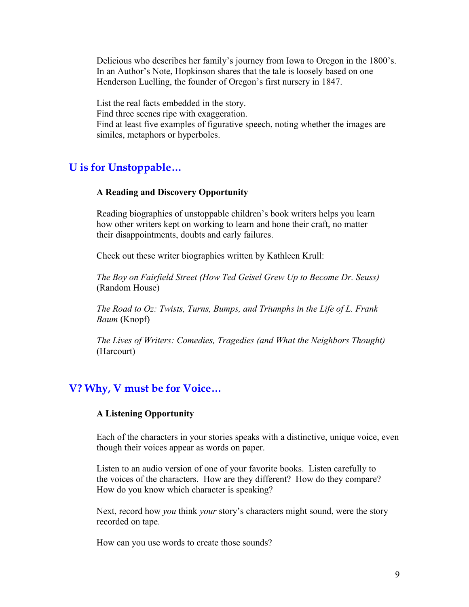Delicious who describes her family's journey from Iowa to Oregon in the 1800's. In an Author's Note, Hopkinson shares that the tale is loosely based on one Henderson Luelling, the founder of Oregon's first nursery in 1847.

List the real facts embedded in the story. Find three scenes ripe with exaggeration. Find at least five examples of figurative speech, noting whether the images are similes, metaphors or hyperboles.

## **U is for Unstoppable…**

#### **A Reading and Discovery Opportunity**

Reading biographies of unstoppable children's book writers helps you learn how other writers kept on working to learn and hone their craft, no matter their disappointments, doubts and early failures.

Check out these writer biographies written by Kathleen Krull:

*The Boy on Fairfield Street (How Ted Geisel Grew Up to Become Dr. Seuss)* (Random House)

*The Road to Oz: Twists, Turns, Bumps, and Triumphs in the Life of L. Frank Baum* (Knopf)

*The Lives of Writers: Comedies, Tragedies (and What the Neighbors Thought)* (Harcourt)

## **V? Why, V must be for Voice…**

### **A Listening Opportunity**

Each of the characters in your stories speaks with a distinctive, unique voice, even though their voices appear as words on paper.

Listen to an audio version of one of your favorite books. Listen carefully to the voices of the characters. How are they different? How do they compare? How do you know which character is speaking?

Next, record how *you* think *your* story's characters might sound, were the story recorded on tape.

How can you use words to create those sounds?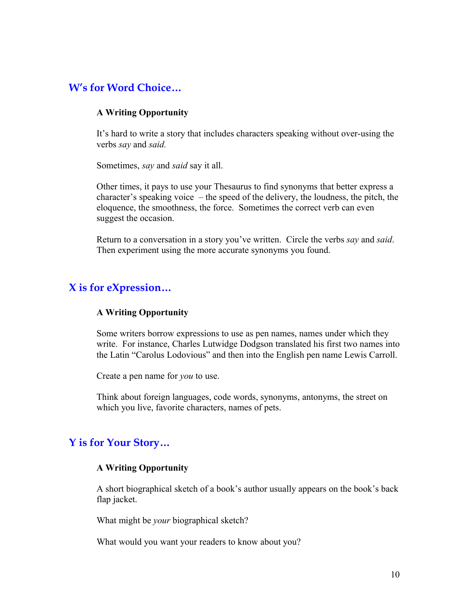# **W's for Word Choice…**

### **A Writing Opportunity**

It's hard to write a story that includes characters speaking without over-using the verbs *say* and *said.*

Sometimes, *say* and *said* say it all.

Other times, it pays to use your Thesaurus to find synonyms that better express a character's speaking voice – the speed of the delivery, the loudness, the pitch, the eloquence, the smoothness, the force. Sometimes the correct verb can even suggest the occasion.

Return to a conversation in a story you've written. Circle the verbs *say* and *said*. Then experiment using the more accurate synonyms you found.

# **X is for eXpression…**

### **A Writing Opportunity**

Some writers borrow expressions to use as pen names, names under which they write. For instance, Charles Lutwidge Dodgson translated his first two names into the Latin "Carolus Lodovious" and then into the English pen name Lewis Carroll.

Create a pen name for *you* to use.

Think about foreign languages, code words, synonyms, antonyms, the street on which you live, favorite characters, names of pets.

# **Y is for Your Story…**

### **A Writing Opportunity**

A short biographical sketch of a book's author usually appears on the book's back flap jacket.

What might be *your* biographical sketch?

What would you want your readers to know about you?